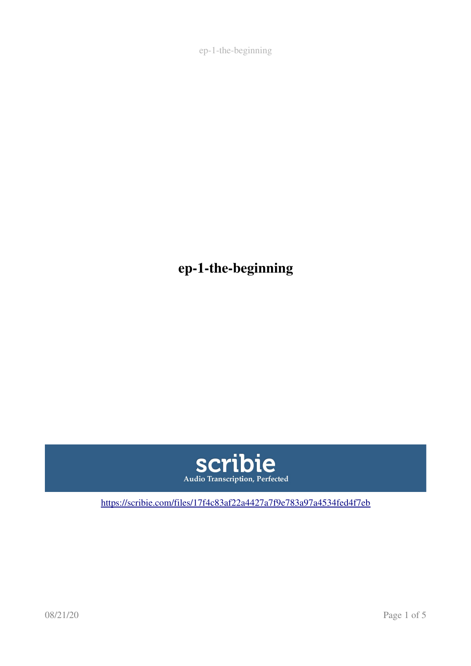ep-1-the-beginning



[https://scribie.com/files/17f4c83af22a4427a7f9e783a97a4534fed4f7eb](https://scribie.com/files/%7BFID%7D)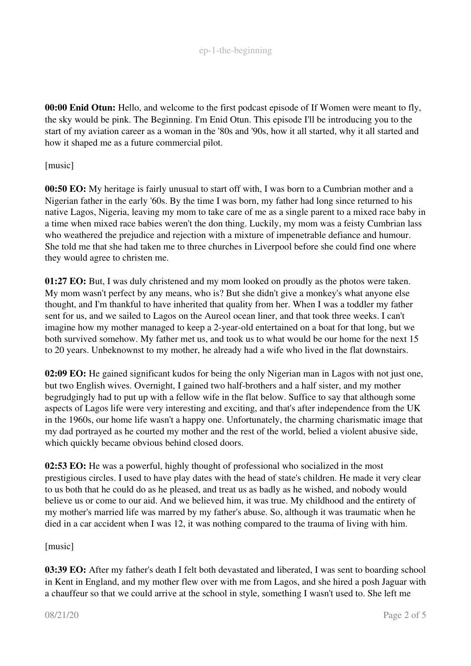00:00 Enid Otun: Hello, and welcome to the first podcast episode of If Women were meant to fly, the sky would be pink. The Beginning. I'm Enid Otun. This episode I'll be introducing you to the start of my aviation career as a woman in the '80s and '90s, how it all started, why it all started and how it shaped me as a future commercial pilot.

### [music]

00:50 EO: My heritage is fairly unusual to start off with, I was born to a Cumbrian mother and a Nigerian father in the early '60s. By the time I was born, my father had long since returned to his native Lagos, Nigeria, leaving my mom to take care of me as a single parent to a mixed race baby in a time when mixed race babies weren't the don thing. Luckily, my mom was a feisty Cumbrian lass who weathered the prejudice and rejection with a mixture of impenetrable defiance and humour. She told me that she had taken me to three churches in Liverpool before she could find one where they would agree to christen me.

01:27 EO: But, I was duly christened and my mom looked on proudly as the photos were taken. My mom wasn't perfect by any means, who is? But she didn't give a monkey's what anyone else thought, and I'm thankful to have inherited that quality from her. When I was a toddler my father sent for us, and we sailed to Lagos on the Aureol ocean liner, and that took three weeks. I can't imagine how my mother managed to keep a 2-year-old entertained on a boat for that long, but we both survived somehow. My father met us, and took us to what would be our home for the next 15 to 20 years. Unbeknownst to my mother, he already had a wife who lived in the flat downstairs.

02:09 EO: He gained significant kudos for being the only Nigerian man in Lagos with not just one, but two English wives. Overnight, I gained two half-brothers and a half sister, and my mother begrudgingly had to put up with a fellow wife in the flat below. Suffice to say that although some aspects of Lagos life were very interesting and exciting, and that's after independence from the UK in the 1960s, our home life wasn't a happy one. Unfortunately, the charming charismatic image that my dad portrayed as he courted my mother and the rest of the world, belied a violent abusive side, which quickly became obvious behind closed doors.

02:53 EO: He was a powerful, highly thought of professional who socialized in the most prestigious circles. I used to have play dates with the head of state's children. He made it very clear to us both that he could do as he pleased, and treat us as badly as he wished, and nobody would believe us or come to our aid. And we believed him, it was true. My childhood and the entirety of my mother's married life was marred by my father's abuse. So, although it was traumatic when he died in a car accident when I was 12, it was nothing compared to the trauma of living with him.

## [music]

03:39 EO: After my father's death I felt both devastated and liberated, I was sent to boarding school in Kent in England, and my mother flew over with me from Lagos, and she hired a posh Jaguar with a chauffeur so that we could arrive at the school in style, something I wasn't used to. She left me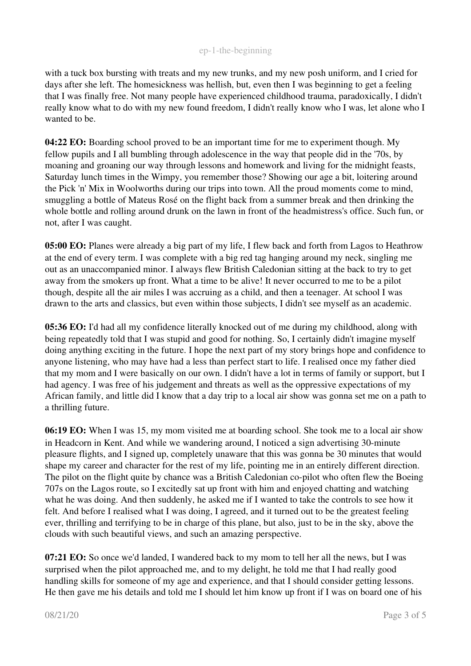with a tuck box bursting with treats and my new trunks, and my new posh uniform, and I cried for days after she left. The homesickness was hellish, but, even then I was beginning to get a feeling that I was finally free. Not many people have experienced childhood trauma, paradoxically, I didn't really know what to do with my new found freedom, I didn't really know who I was, let alone who I wanted to be.

04:22 EO: Boarding school proved to be an important time for me to experiment though. My fellow pupils and I all bumbling through adolescence in the way that people did in the '70s, by moaning and groaning our way through lessons and homework and living for the midnight feasts, Saturday lunch times in the Wimpy, you remember those? Showing our age a bit, loitering around the Pick 'n' Mix in Woolworths during our trips into town. All the proud moments come to mind, smuggling a bottle of Mateus Rosé on the flight back from a summer break and then drinking the whole bottle and rolling around drunk on the lawn in front of the headmistress's office. Such fun, or not, after I was caught.

05:00 EO: Planes were already a big part of my life, I flew back and forth from Lagos to Heathrow at the end of every term. I was complete with a big red tag hanging around my neck, singling me out as an unaccompanied minor. I always flew British Caledonian sitting at the back to try to get away from the smokers up front. What a time to be alive! It never occurred to me to be a pilot though, despite all the air miles I was accruing as a child, and then a teenager. At school I was drawn to the arts and classics, but even within those subjects, I didn't see myself as an academic.

05:36 EO: I'd had all my confidence literally knocked out of me during my childhood, along with being repeatedly told that I was stupid and good for nothing. So, I certainly didn't imagine myself doing anything exciting in the future. I hope the next part of my story brings hope and confidence to anyone listening, who may have had a less than perfect start to life. I realised once my father died that my mom and I were basically on our own. I didn't have a lot in terms of family or support, but I had agency. I was free of his judgement and threats as well as the oppressive expectations of my African family, and little did I know that a day trip to a local air show was gonna set me on a path to a thrilling future.

06:19 EO: When I was 15, my mom visited me at boarding school. She took me to a local air show in Headcorn in Kent. And while we wandering around, I noticed a sign advertising 30-minute pleasure flights, and I signed up, completely unaware that this was gonna be 30 minutes that would shape my career and character for the rest of my life, pointing me in an entirely different direction. The pilot on the flight quite by chance was a British Caledonian co-pilot who often flew the Boeing 707s on the Lagos route, so I excitedly sat up front with him and enjoyed chatting and watching what he was doing. And then suddenly, he asked me if I wanted to take the controls to see how it felt. And before I realised what I was doing, I agreed, and it turned out to be the greatest feeling ever, thrilling and terrifying to be in charge of this plane, but also, just to be in the sky, above the clouds with such beautiful views, and such an amazing perspective.

07:21 EO: So once we'd landed, I wandered back to my mom to tell her all the news, but I was surprised when the pilot approached me, and to my delight, he told me that I had really good handling skills for someone of my age and experience, and that I should consider getting lessons. He then gave me his details and told me I should let him know up front if I was on board one of his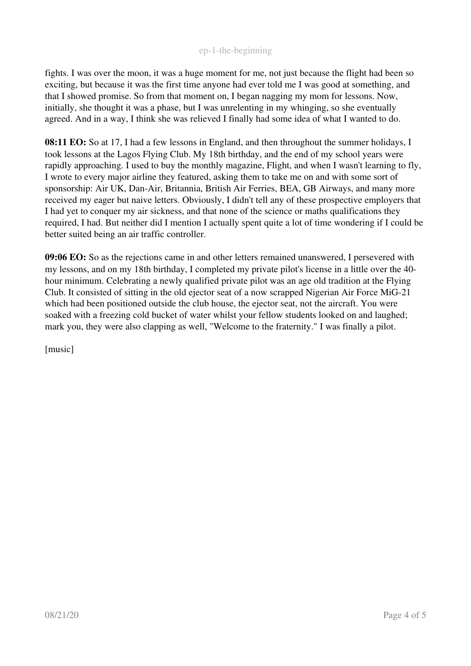fights. I was over the moon, it was a huge moment for me, not just because the flight had been so exciting, but because it was the first time anyone had ever told me I was good at something, and that I showed promise. So from that moment on, I began nagging my mom for lessons. Now, initially, she thought it was a phase, but I was unrelenting in my whinging, so she eventually agreed. And in a way, I think she was relieved I finally had some idea of what I wanted to do.

08:11 EO: So at 17, I had a few lessons in England, and then throughout the summer holidays, I took lessons at the Lagos Flying Club. My 18th birthday, and the end of my school years were rapidly approaching. I used to buy the monthly magazine, Flight, and when I wasn't learning to fly, I wrote to every major airline they featured, asking them to take me on and with some sort of sponsorship: Air UK, Dan-Air, Britannia, British Air Ferries, BEA, GB Airways, and many more received my eager but naive letters. Obviously, I didn't tell any of these prospective employers that I had yet to conquer my air sickness, and that none of the science or maths qualifications they required, I had. But neither did I mention I actually spent quite a lot of time wondering if I could be better suited being an air traffic controller.

09:06 EO: So as the rejections came in and other letters remained unanswered, I persevered with my lessons, and on my 18th birthday, I completed my private pilot's license in a little over the 40 hour minimum. Celebrating a newly qualified private pilot was an age old tradition at the Flying Club. It consisted of sitting in the old ejector seat of a now scrapped Nigerian Air Force MiG-21 which had been positioned outside the club house, the ejector seat, not the aircraft. You were soaked with a freezing cold bucket of water whilst your fellow students looked on and laughed; mark you, they were also clapping as well, "Welcome to the fraternity." I was finally a pilot.

[music]